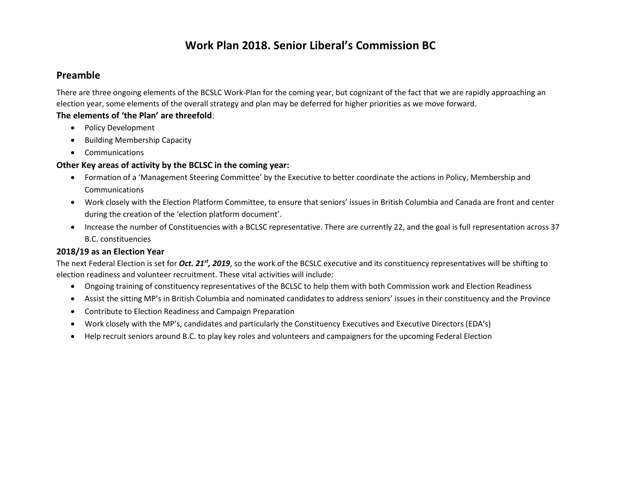### **Preamble**

There are three ongoing elements of the BCSLC Work-Plan for the coming year, but cognizant of the fact that we are rapidly approaching an election year, some elements of the overall strategy and plan may be deferred for higher priorities as we move forward.

### **The elements of 'the Plan' are threefold**:

- Policy Development
- Building Membership Capacity
- Communications

### **Other Key areas of activity by the BCLSC in the coming year:**

- Formation of a 'Management Steering Committee' by the Executive to better coordinate the actions in Policy, Membership and **Communications**
- Work closely with the Election Platform Committee, to ensure that seniors' issues in British Columbia and Canada are front and center during the creation of the 'election platform document'.
- Increase the number of Constituencies with a BCLSC representative. There are currently 22, and the goal is full representation across 37 B.C. constituencies

### **2018/19 as an Election Year**

The next Federal Election is set for *Oct. 21st, 2019*, so the work of the BCSLC executive and its constituency representatives will be shifting to election readiness and volunteer recruitment. These vital activities will include:

- Ongoing training of constituency representatives of the BCLSC to help them with both Commission work and Election Readiness
- Assist the sitting MP's in British Columbia and nominated candidates to address seniors' issues in their constituency and the Province
- Contribute to Election Readiness and Campaign Preparation
- Work closely with the MP's, candidates and particularly the Constituency Executives and Executive Directors (EDA's)
- Help recruit seniors around B.C. to play key roles and volunteers and campaigners for the upcoming Federal Election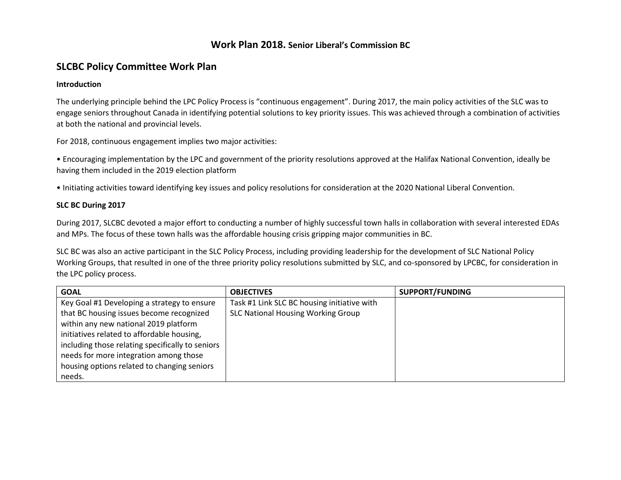## **SLCBC Policy Committee Work Plan**

#### **Introduction**

The underlying principle behind the LPC Policy Process is "continuous engagement". During 2017, the main policy activities of the SLC was to engage seniors throughout Canada in identifying potential solutions to key priority issues. This was achieved through a combination of activities at both the national and provincial levels.

For 2018, continuous engagement implies two major activities:

• Encouraging implementation by the LPC and government of the priority resolutions approved at the Halifax National Convention, ideally be having them included in the 2019 election platform

• Initiating activities toward identifying key issues and policy resolutions for consideration at the 2020 National Liberal Convention.

#### **SLC BC During 2017**

During 2017, SLCBC devoted a major effort to conducting a number of highly successful town halls in collaboration with several interested EDAs and MPs. The focus of these town halls was the affordable housing crisis gripping major communities in BC.

SLC BC was also an active participant in the SLC Policy Process, including providing leadership for the development of SLC National Policy Working Groups, that resulted in one of the three priority policy resolutions submitted by SLC, and co-sponsored by LPCBC, for consideration in the LPC policy process.

| <b>GOAL</b>                                      | <b>OBJECTIVES</b>                           | SUPPORT/FUNDING |
|--------------------------------------------------|---------------------------------------------|-----------------|
| Key Goal #1 Developing a strategy to ensure      | Task #1 Link SLC BC housing initiative with |                 |
| that BC housing issues become recognized         | <b>SLC National Housing Working Group</b>   |                 |
| within any new national 2019 platform            |                                             |                 |
| initiatives related to affordable housing,       |                                             |                 |
| including those relating specifically to seniors |                                             |                 |
| needs for more integration among those           |                                             |                 |
| housing options related to changing seniors      |                                             |                 |
| needs.                                           |                                             |                 |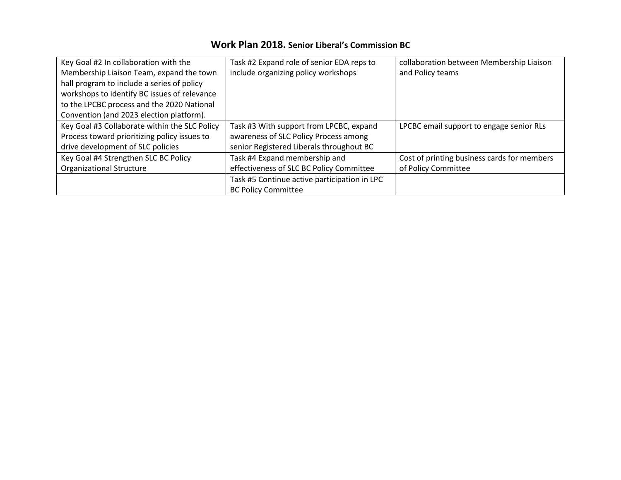| Key Goal #2 In collaboration with the         | Task #2 Expand role of senior EDA reps to    | collaboration between Membership Liaison    |
|-----------------------------------------------|----------------------------------------------|---------------------------------------------|
| Membership Liaison Team, expand the town      | include organizing policy workshops          | and Policy teams                            |
| hall program to include a series of policy    |                                              |                                             |
| workshops to identify BC issues of relevance  |                                              |                                             |
| to the LPCBC process and the 2020 National    |                                              |                                             |
| Convention (and 2023 election platform).      |                                              |                                             |
| Key Goal #3 Collaborate within the SLC Policy | Task #3 With support from LPCBC, expand      | LPCBC email support to engage senior RLs    |
| Process toward prioritizing policy issues to  | awareness of SLC Policy Process among        |                                             |
| drive development of SLC policies             | senior Registered Liberals throughout BC     |                                             |
| Key Goal #4 Strengthen SLC BC Policy          | Task #4 Expand membership and                | Cost of printing business cards for members |
| <b>Organizational Structure</b>               | effectiveness of SLC BC Policy Committee     | of Policy Committee                         |
|                                               | Task #5 Continue active participation in LPC |                                             |
|                                               | <b>BC Policy Committee</b>                   |                                             |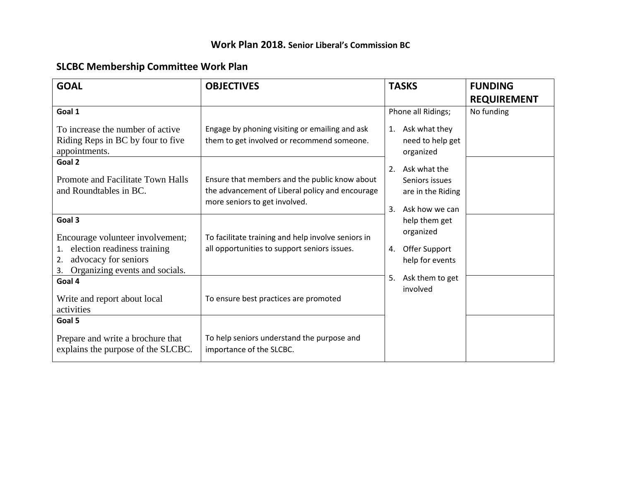# **SLCBC Membership Committee Work Plan**

| <b>GOAL</b>                                                                                                                                           | <b>OBJECTIVES</b>                                                                                                                 | <b>TASKS</b>                                                                      | <b>FUNDING</b>     |
|-------------------------------------------------------------------------------------------------------------------------------------------------------|-----------------------------------------------------------------------------------------------------------------------------------|-----------------------------------------------------------------------------------|--------------------|
|                                                                                                                                                       |                                                                                                                                   |                                                                                   | <b>REQUIREMENT</b> |
| Goal 1                                                                                                                                                |                                                                                                                                   | Phone all Ridings;                                                                | No funding         |
| To increase the number of active<br>Riding Reps in BC by four to five<br>appointments.                                                                | Engage by phoning visiting or emailing and ask<br>them to get involved or recommend someone.                                      | Ask what they<br>1.<br>need to help get<br>organized                              |                    |
| Goal 2<br>Promote and Facilitate Town Halls<br>and Roundtables in BC.                                                                                 | Ensure that members and the public know about<br>the advancement of Liberal policy and encourage<br>more seniors to get involved. | Ask what the<br>2.<br>Seniors issues<br>are in the Riding<br>Ask how we can<br>3. |                    |
| Goal 3<br>Encourage volunteer involvement;<br>election readiness training<br>1.<br>advocacy for seniors<br>2.<br>Organizing events and socials.<br>3. | To facilitate training and help involve seniors in<br>all opportunities to support seniors issues.                                | help them get<br>organized<br>Offer Support<br>4.<br>help for events              |                    |
| Goal 4<br>Write and report about local<br>activities                                                                                                  | To ensure best practices are promoted                                                                                             | Ask them to get<br>5.<br>involved                                                 |                    |
| Goal 5<br>Prepare and write a brochure that<br>explains the purpose of the SLCBC.                                                                     | To help seniors understand the purpose and<br>importance of the SLCBC.                                                            |                                                                                   |                    |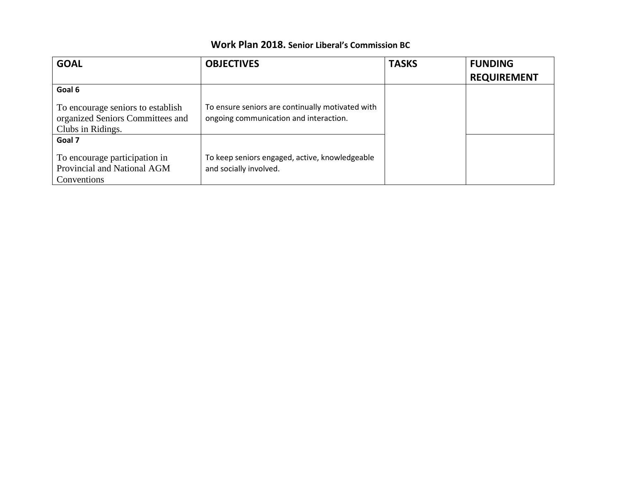| <b>GOAL</b>                                                                                | <b>OBJECTIVES</b>                                                                          | <b>TASKS</b> | <b>FUNDING</b>     |
|--------------------------------------------------------------------------------------------|--------------------------------------------------------------------------------------------|--------------|--------------------|
|                                                                                            |                                                                                            |              | <b>REQUIREMENT</b> |
| Goal 6                                                                                     |                                                                                            |              |                    |
| To encourage seniors to establish<br>organized Seniors Committees and<br>Clubs in Ridings. | To ensure seniors are continually motivated with<br>ongoing communication and interaction. |              |                    |
| Goal 7                                                                                     |                                                                                            |              |                    |
| To encourage participation in<br>Provincial and National AGM<br>Conventions                | To keep seniors engaged, active, knowledgeable<br>and socially involved.                   |              |                    |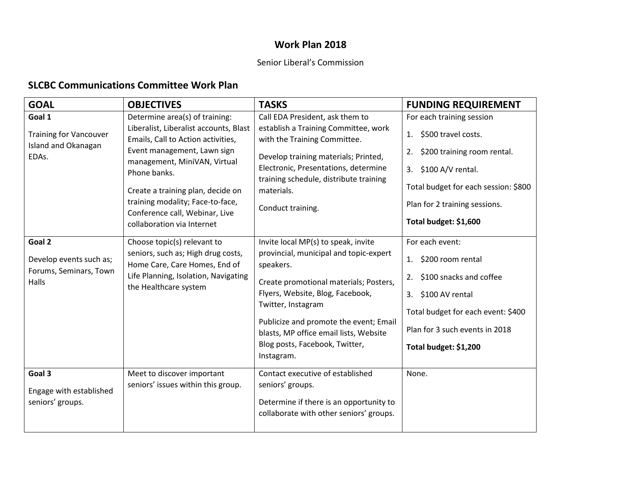# **Work Plan 2018**

## Senior Liberal's Commission

# **SLCBC Communications Committee Work Plan**

| <b>GOAL</b>                                                             | <b>OBJECTIVES</b>                                                                                                                                                                                                                                                                                                                      | <b>TASKS</b>                                                                                                                                                                                                                                                                                                                       | <b>FUNDING REQUIREMENT</b>                                                                                                                                                                                               |
|-------------------------------------------------------------------------|----------------------------------------------------------------------------------------------------------------------------------------------------------------------------------------------------------------------------------------------------------------------------------------------------------------------------------------|------------------------------------------------------------------------------------------------------------------------------------------------------------------------------------------------------------------------------------------------------------------------------------------------------------------------------------|--------------------------------------------------------------------------------------------------------------------------------------------------------------------------------------------------------------------------|
| Goal 1<br><b>Training for Vancouver</b><br>Island and Okanagan<br>EDAs. | Determine area(s) of training:<br>Liberalist, Liberalist accounts, Blast<br>Emails, Call to Action activities,<br>Event management, Lawn sign<br>management, MiniVAN, Virtual<br>Phone banks.<br>Create a training plan, decide on<br>training modality; Face-to-face,<br>Conference call, Webinar, Live<br>collaboration via Internet | Call EDA President, ask them to<br>establish a Training Committee, work<br>with the Training Committee.<br>Develop training materials; Printed,<br>Electronic, Presentations, determine<br>training schedule, distribute training<br>materials.<br>Conduct training.                                                               | For each training session<br>\$500 travel costs.<br>1.<br>\$200 training room rental.<br>2.<br>\$100 A/V rental.<br>3.<br>Total budget for each session: \$800<br>Plan for 2 training sessions.<br>Total budget: \$1,600 |
| Goal 2<br>Develop events such as;<br>Forums, Seminars, Town<br>Halls    | Choose topic(s) relevant to<br>seniors, such as; High drug costs,<br>Home Care, Care Homes, End of<br>Life Planning, Isolation, Navigating<br>the Healthcare system                                                                                                                                                                    | Invite local MP(s) to speak, invite<br>provincial, municipal and topic-expert<br>speakers.<br>Create promotional materials; Posters,<br>Flyers, Website, Blog, Facebook,<br>Twitter, Instagram<br>Publicize and promote the event; Email<br>blasts, MP office email lists, Website<br>Blog posts, Facebook, Twitter,<br>Instagram. | For each event:<br>\$200 room rental<br>1.<br>\$100 snacks and coffee<br>2.<br>\$100 AV rental<br>3.<br>Total budget for each event: \$400<br>Plan for 3 such events in 2018<br>Total budget: \$1,200                    |
| Goal 3<br>Engage with established<br>seniors' groups.                   | Meet to discover important<br>seniors' issues within this group.                                                                                                                                                                                                                                                                       | Contact executive of established<br>seniors' groups.<br>Determine if there is an opportunity to<br>collaborate with other seniors' groups.                                                                                                                                                                                         | None.                                                                                                                                                                                                                    |